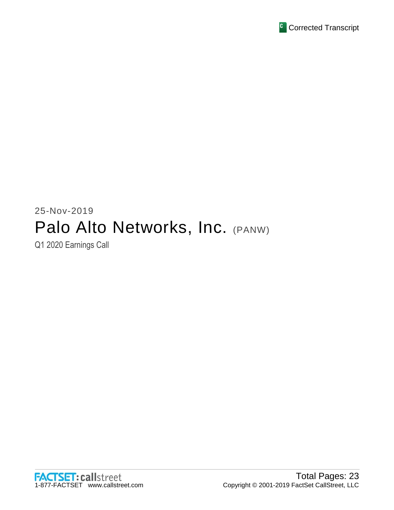

# 25-Nov-2019 Palo Alto Networks, Inc. (PANW)

Q1 2020 Earnings Call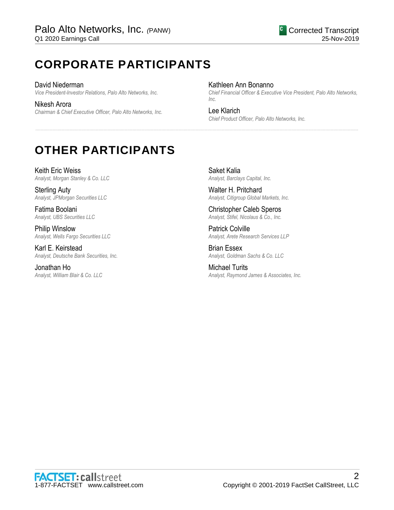# **CORPORATE PARTICIPANTS**

David Niederman *Vice President-Investor Relations, Palo Alto Networks, Inc.*

Nikesh Arora *Chairman & Chief Executive Officer, Palo Alto Networks, Inc.* Kathleen Ann Bonanno

......................................................................................................................................................................................................................................................

*Chief Financial Officer & Executive Vice President, Palo Alto Networks, Inc.*

Lee Klarich *Chief Product Officer, Palo Alto Networks, Inc.*

# **OTHER PARTICIPANTS**

Keith Eric Weiss *Analyst, Morgan Stanley & Co. LLC*

Sterling Auty *Analyst, JPMorgan Securities LLC*

Fatima Boolani *Analyst, UBS Securities LLC*

Philip Winslow *Analyst, Wells Fargo Securities LLC*

Karl E. Keirstead *Analyst, Deutsche Bank Securities, Inc.*

Jonathan Ho *Analyst, William Blair & Co. LLC*

Saket Kalia *Analyst, Barclays Capital, Inc.*

Walter H. Pritchard *Analyst, Citigroup Global Markets, Inc.*

Christopher Caleb Speros *Analyst, Stifel, Nicolaus & Co., Inc.*

Patrick Colville *Analyst, Arete Research Services LLP*

Brian Essex *Analyst, Goldman Sachs & Co. LLC*

Michael Turits *Analyst, Raymond James & Associates, Inc.*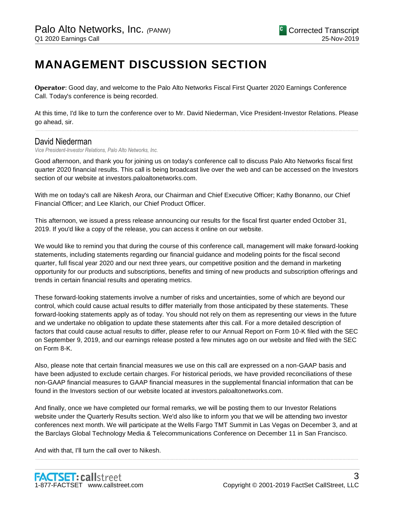# **MANAGEMENT DISCUSSION SECTION**

**Operator**: Good day, and welcome to the Palo Alto Networks Fiscal First Quarter 2020 Earnings Conference Call. Today's conference is being recorded.

At this time, I'd like to turn the conference over to Mr. David Niederman, Vice President-Investor Relations. Please go ahead, sir. ......................................................................................................................................................................................................................................................

# David Niederman

*Vice President-Investor Relations, Palo Alto Networks, Inc.*

Good afternoon, and thank you for joining us on today's conference call to discuss Palo Alto Networks fiscal first quarter 2020 financial results. This call is being broadcast live over the web and can be accessed on the Investors section of our website at investors.paloaltonetworks.com.

With me on today's call are Nikesh Arora, our Chairman and Chief Executive Officer; Kathy Bonanno, our Chief Financial Officer; and Lee Klarich, our Chief Product Officer.

This afternoon, we issued a press release announcing our results for the fiscal first quarter ended October 31, 2019. If you'd like a copy of the release, you can access it online on our website.

We would like to remind you that during the course of this conference call, management will make forward-looking statements, including statements regarding our financial guidance and modeling points for the fiscal second quarter, full fiscal year 2020 and our next three years, our competitive position and the demand in marketing opportunity for our products and subscriptions, benefits and timing of new products and subscription offerings and trends in certain financial results and operating metrics.

These forward-looking statements involve a number of risks and uncertainties, some of which are beyond our control, which could cause actual results to differ materially from those anticipated by these statements. These forward-looking statements apply as of today. You should not rely on them as representing our views in the future and we undertake no obligation to update these statements after this call. For a more detailed description of factors that could cause actual results to differ, please refer to our Annual Report on Form 10-K filed with the SEC on September 9, 2019, and our earnings release posted a few minutes ago on our website and filed with the SEC on Form 8-K.

Also, please note that certain financial measures we use on this call are expressed on a non-GAAP basis and have been adjusted to exclude certain charges. For historical periods, we have provided reconciliations of these non-GAAP financial measures to GAAP financial measures in the supplemental financial information that can be found in the Investors section of our website located at investors.paloaltonetworks.com.

And finally, once we have completed our formal remarks, we will be posting them to our Investor Relations website under the Quarterly Results section. We'd also like to inform you that we will be attending two investor conferences next month. We will participate at the Wells Fargo TMT Summit in Las Vegas on December 3, and at the Barclays Global Technology Media & Telecommunications Conference on December 11 in San Francisco.

......................................................................................................................................................................................................................................................

And with that, I'll turn the call over to Nikesh.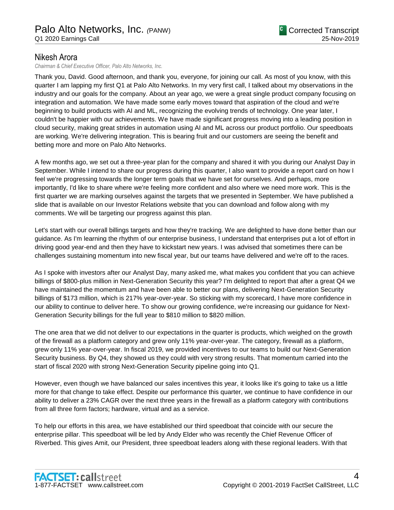# Nikesh Arora

*Chairman & Chief Executive Officer, Palo Alto Networks, Inc.*

Thank you, David. Good afternoon, and thank you, everyone, for joining our call. As most of you know, with this quarter I am lapping my first Q1 at Palo Alto Networks. In my very first call, I talked about my observations in the industry and our goals for the company. About an year ago, we were a great single product company focusing on integration and automation. We have made some early moves toward that aspiration of the cloud and we're beginning to build products with AI and ML, recognizing the evolving trends of technology. One year later, I couldn't be happier with our achievements. We have made significant progress moving into a leading position in cloud security, making great strides in automation using AI and ML across our product portfolio. Our speedboats are working. We're delivering integration. This is bearing fruit and our customers are seeing the benefit and betting more and more on Palo Alto Networks.

A few months ago, we set out a three-year plan for the company and shared it with you during our Analyst Day in September. While I intend to share our progress during this quarter, I also want to provide a report card on how I feel we're progressing towards the longer term goals that we have set for ourselves. And perhaps, more importantly, I'd like to share where we're feeling more confident and also where we need more work. This is the first quarter we are marking ourselves against the targets that we presented in September. We have published a slide that is available on our Investor Relations website that you can download and follow along with my comments. We will be targeting our progress against this plan.

Let's start with our overall billings targets and how they're tracking. We are delighted to have done better than our guidance. As I'm learning the rhythm of our enterprise business, I understand that enterprises put a lot of effort in driving good year-end and then they have to kickstart new years. I was advised that sometimes there can be challenges sustaining momentum into new fiscal year, but our teams have delivered and we're off to the races.

As I spoke with investors after our Analyst Day, many asked me, what makes you confident that you can achieve billings of \$800-plus million in Next-Generation Security this year? I'm delighted to report that after a great Q4 we have maintained the momentum and have been able to better our plans, delivering Next-Generation Security billings of \$173 million, which is 217% year-over-year. So sticking with my scorecard, I have more confidence in our ability to continue to deliver here. To show our growing confidence, we're increasing our guidance for Next-Generation Security billings for the full year to \$810 million to \$820 million.

The one area that we did not deliver to our expectations in the quarter is products, which weighed on the growth of the firewall as a platform category and grew only 11% year-over-year. The category, firewall as a platform, grew only 11% year-over-year. In fiscal 2019, we provided incentives to our teams to build our Next-Generation Security business. By Q4, they showed us they could with very strong results. That momentum carried into the start of fiscal 2020 with strong Next-Generation Security pipeline going into Q1.

However, even though we have balanced our sales incentives this year, it looks like it's going to take us a little more for that change to take effect. Despite our performance this quarter, we continue to have confidence in our ability to deliver a 23% CAGR over the next three years in the firewall as a platform category with contributions from all three form factors; hardware, virtual and as a service.

To help our efforts in this area, we have established our third speedboat that coincide with our secure the enterprise pillar. This speedboat will be led by Andy Elder who was recently the Chief Revenue Officer of Riverbed. This gives Amit, our President, three speedboat leaders along with these regional leaders. With that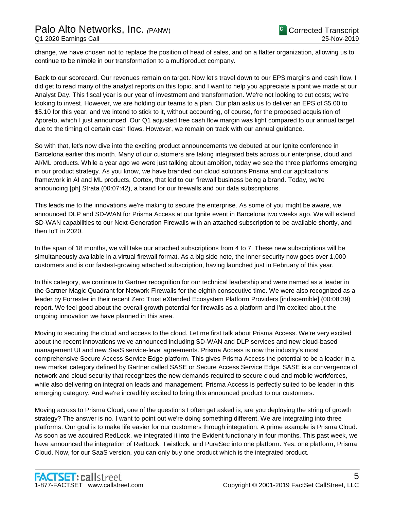change, we have chosen not to replace the position of head of sales, and on a flatter organization, allowing us to continue to be nimble in our transformation to a multiproduct company.

Back to our scorecard. Our revenues remain on target. Now let's travel down to our EPS margins and cash flow. I did get to read many of the analyst reports on this topic, and I want to help you appreciate a point we made at our Analyst Day. This fiscal year is our year of investment and transformation. We're not looking to cut costs; we're looking to invest. However, we are holding our teams to a plan. Our plan asks us to deliver an EPS of \$5.00 to \$5.10 for this year, and we intend to stick to it, without accounting, of course, for the proposed acquisition of Aporeto, which I just announced. Our Q1 adjusted free cash flow margin was light compared to our annual target due to the timing of certain cash flows. However, we remain on track with our annual guidance.

So with that, let's now dive into the exciting product announcements we debuted at our Ignite conference in Barcelona earlier this month. Many of our customers are taking integrated bets across our enterprise, cloud and AI/ML products. While a year ago we were just talking about ambition, today we see the three platforms emerging in our product strategy. As you know, we have branded our cloud solutions Prisma and our applications framework in AI and ML products, Cortex, that led to our firewall business being a brand. Today, we're announcing [ph] Strata (00:07:42), a brand for our firewalls and our data subscriptions.

This leads me to the innovations we're making to secure the enterprise. As some of you might be aware, we announced DLP and SD-WAN for Prisma Access at our Ignite event in Barcelona two weeks ago. We will extend SD-WAN capabilities to our Next-Generation Firewalls with an attached subscription to be available shortly, and then IoT in 2020.

In the span of 18 months, we will take our attached subscriptions from 4 to 7. These new subscriptions will be simultaneously available in a virtual firewall format. As a big side note, the inner security now goes over 1,000 customers and is our fastest-growing attached subscription, having launched just in February of this year.

In this category, we continue to Gartner recognition for our technical leadership and were named as a leader in the Gartner Magic Quadrant for Network Firewalls for the eighth consecutive time. We were also recognized as a leader by Forrester in their recent Zero Trust eXtended Ecosystem Platform Providers [indiscernible] (00:08:39) report. We feel good about the overall growth potential for firewalls as a platform and I'm excited about the ongoing innovation we have planned in this area.

Moving to securing the cloud and access to the cloud. Let me first talk about Prisma Access. We're very excited about the recent innovations we've announced including SD-WAN and DLP services and new cloud-based management UI and new SaaS service-level agreements. Prisma Access is now the industry's most comprehensive Secure Access Service Edge platform. This gives Prisma Access the potential to be a leader in a new market category defined by Gartner called SASE or Secure Access Service Edge. SASE is a convergence of network and cloud security that recognizes the new demands required to secure cloud and mobile workforces, while also delivering on integration leads and management. Prisma Access is perfectly suited to be leader in this emerging category. And we're incredibly excited to bring this announced product to our customers.

Moving across to Prisma Cloud, one of the questions I often get asked is, are you deploying the string of growth strategy? The answer is no. I want to point out we're doing something different. We are integrating into three platforms. Our goal is to make life easier for our customers through integration. A prime example is Prisma Cloud. As soon as we acquired RedLock, we integrated it into the Evident functionary in four months. This past week, we have announced the integration of RedLock, Twistlock, and PureSec into one platform. Yes, one platform, Prisma Cloud. Now, for our SaaS version, you can only buy one product which is the integrated product.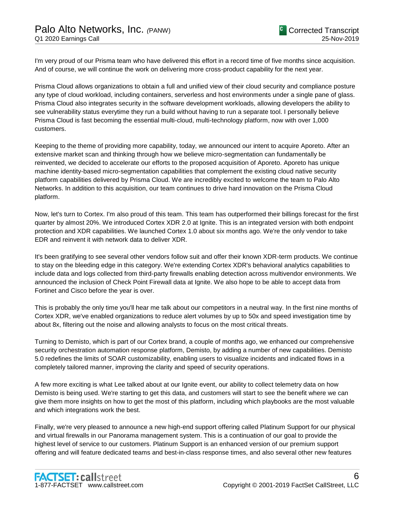I'm very proud of our Prisma team who have delivered this effort in a record time of five months since acquisition. And of course, we will continue the work on delivering more cross-product capability for the next year.

Prisma Cloud allows organizations to obtain a full and unified view of their cloud security and compliance posture any type of cloud workload, including containers, serverless and host environments under a single pane of glass. Prisma Cloud also integrates security in the software development workloads, allowing developers the ability to see vulnerability status everytime they run a build without having to run a separate tool. I personally believe Prisma Cloud is fast becoming the essential multi-cloud, multi-technology platform, now with over 1,000 customers.

Keeping to the theme of providing more capability, today, we announced our intent to acquire Aporeto. After an extensive market scan and thinking through how we believe micro-segmentation can fundamentally be reinvented, we decided to accelerate our efforts to the proposed acquisition of Aporeto. Aporeto has unique machine identity-based micro-segmentation capabilities that complement the existing cloud native security platform capabilities delivered by Prisma Cloud. We are incredibly excited to welcome the team to Palo Alto Networks. In addition to this acquisition, our team continues to drive hard innovation on the Prisma Cloud platform.

Now, let's turn to Cortex. I'm also proud of this team. This team has outperformed their billings forecast for the first quarter by almost 20%. We introduced Cortex XDR 2.0 at Ignite. This is an integrated version with both endpoint protection and XDR capabilities. We launched Cortex 1.0 about six months ago. We're the only vendor to take EDR and reinvent it with network data to deliver XDR.

It's been gratifying to see several other vendors follow suit and offer their known XDR-term products. We continue to stay on the bleeding edge in this category. We're extending Cortex XDR's behavioral analytics capabilities to include data and logs collected from third-party firewalls enabling detection across multivendor environments. We announced the inclusion of Check Point Firewall data at Ignite. We also hope to be able to accept data from Fortinet and Cisco before the year is over.

This is probably the only time you'll hear me talk about our competitors in a neutral way. In the first nine months of Cortex XDR, we've enabled organizations to reduce alert volumes by up to 50x and speed investigation time by about 8x, filtering out the noise and allowing analysts to focus on the most critical threats.

Turning to Demisto, which is part of our Cortex brand, a couple of months ago, we enhanced our comprehensive security orchestration automation response platform, Demisto, by adding a number of new capabilities. Demisto 5.0 redefines the limits of SOAR customizability, enabling users to visualize incidents and indicated flows in a completely tailored manner, improving the clarity and speed of security operations.

A few more exciting is what Lee talked about at our Ignite event, our ability to collect telemetry data on how Demisto is being used. We're starting to get this data, and customers will start to see the benefit where we can give them more insights on how to get the most of this platform, including which playbooks are the most valuable and which integrations work the best.

Finally, we're very pleased to announce a new high-end support offering called Platinum Support for our physical and virtual firewalls in our Panorama management system. This is a continuation of our goal to provide the highest level of service to our customers. Platinum Support is an enhanced version of our premium support offering and will feature dedicated teams and best-in-class response times, and also several other new features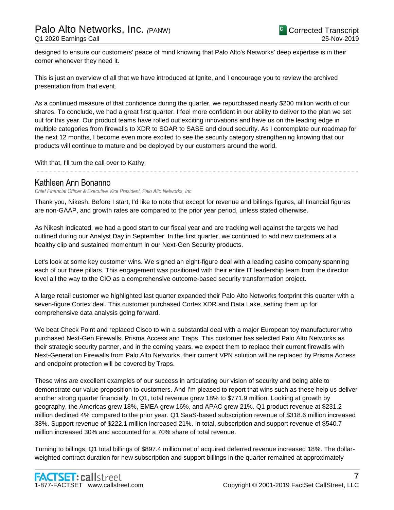designed to ensure our customers' peace of mind knowing that Palo Alto's Networks' deep expertise is in their corner whenever they need it.

This is just an overview of all that we have introduced at Ignite, and I encourage you to review the archived presentation from that event.

As a continued measure of that confidence during the quarter, we repurchased nearly \$200 million worth of our shares. To conclude, we had a great first quarter. I feel more confident in our ability to deliver to the plan we set out for this year. Our product teams have rolled out exciting innovations and have us on the leading edge in multiple categories from firewalls to XDR to SOAR to SASE and cloud security. As I contemplate our roadmap for the next 12 months, I become even more excited to see the security category strengthening knowing that our products will continue to mature and be deployed by our customers around the world.

......................................................................................................................................................................................................................................................

With that, I'll turn the call over to Kathy.

# Kathleen Ann Bonanno

*Chief Financial Officer & Executive Vice President, Palo Alto Networks, Inc.*

Thank you, Nikesh. Before I start, I'd like to note that except for revenue and billings figures, all financial figures are non-GAAP, and growth rates are compared to the prior year period, unless stated otherwise.

As Nikesh indicated, we had a good start to our fiscal year and are tracking well against the targets we had outlined during our Analyst Day in September. In the first quarter, we continued to add new customers at a healthy clip and sustained momentum in our Next-Gen Security products.

Let's look at some key customer wins. We signed an eight-figure deal with a leading casino company spanning each of our three pillars. This engagement was positioned with their entire IT leadership team from the director level all the way to the CIO as a comprehensive outcome-based security transformation project.

A large retail customer we highlighted last quarter expanded their Palo Alto Networks footprint this quarter with a seven-figure Cortex deal. This customer purchased Cortex XDR and Data Lake, setting them up for comprehensive data analysis going forward.

We beat Check Point and replaced Cisco to win a substantial deal with a major European toy manufacturer who purchased Next-Gen Firewalls, Prisma Access and Traps. This customer has selected Palo Alto Networks as their strategic security partner, and in the coming years, we expect them to replace their current firewalls with Next-Generation Firewalls from Palo Alto Networks, their current VPN solution will be replaced by Prisma Access and endpoint protection will be covered by Traps.

These wins are excellent examples of our success in articulating our vision of security and being able to demonstrate our value proposition to customers. And I'm pleased to report that wins such as these help us deliver another strong quarter financially. In Q1, total revenue grew 18% to \$771.9 million. Looking at growth by geography, the Americas grew 18%, EMEA grew 16%, and APAC grew 21%. Q1 product revenue at \$231.2 million declined 4% compared to the prior year. Q1 SaaS-based subscription revenue of \$318.6 million increased 38%. Support revenue of \$222.1 million increased 21%. In total, subscription and support revenue of \$540.7 million increased 30% and accounted for a 70% share of total revenue.

Turning to billings, Q1 total billings of \$897.4 million net of acquired deferred revenue increased 18%. The dollarweighted contract duration for new subscription and support billings in the quarter remained at approximately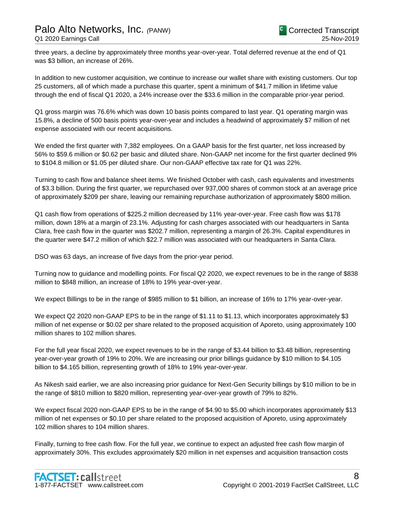three years, a decline by approximately three months year-over-year. Total deferred revenue at the end of Q1 was \$3 billion, an increase of 26%.

In addition to new customer acquisition, we continue to increase our wallet share with existing customers. Our top 25 customers, all of which made a purchase this quarter, spent a minimum of \$41.7 million in lifetime value through the end of fiscal Q1 2020, a 24% increase over the \$33.6 million in the comparable prior-year period.

Q1 gross margin was 76.6% which was down 10 basis points compared to last year. Q1 operating margin was 15.8%, a decline of 500 basis points year-over-year and includes a headwind of approximately \$7 million of net expense associated with our recent acquisitions.

We ended the first quarter with 7,382 employees. On a GAAP basis for the first quarter, net loss increased by 56% to \$59.6 million or \$0.62 per basic and diluted share. Non-GAAP net income for the first quarter declined 9% to \$104.8 million or \$1.05 per diluted share. Our non-GAAP effective tax rate for Q1 was 22%.

Turning to cash flow and balance sheet items. We finished October with cash, cash equivalents and investments of \$3.3 billion. During the first quarter, we repurchased over 937,000 shares of common stock at an average price of approximately \$209 per share, leaving our remaining repurchase authorization of approximately \$800 million.

Q1 cash flow from operations of \$225.2 million decreased by 11% year-over-year. Free cash flow was \$178 million, down 18% at a margin of 23.1%. Adjusting for cash charges associated with our headquarters in Santa Clara, free cash flow in the quarter was \$202.7 million, representing a margin of 26.3%. Capital expenditures in the quarter were \$47.2 million of which \$22.7 million was associated with our headquarters in Santa Clara.

DSO was 63 days, an increase of five days from the prior-year period.

Turning now to guidance and modelling points. For fiscal Q2 2020, we expect revenues to be in the range of \$838 million to \$848 million, an increase of 18% to 19% year-over-year.

We expect Billings to be in the range of \$985 million to \$1 billion, an increase of 16% to 17% year-over-year.

We expect Q2 2020 non-GAAP EPS to be in the range of \$1.11 to \$1.13, which incorporates approximately \$3 million of net expense or \$0.02 per share related to the proposed acquisition of Aporeto, using approximately 100 million shares to 102 million shares.

For the full year fiscal 2020, we expect revenues to be in the range of \$3.44 billion to \$3.48 billion, representing year-over-year growth of 19% to 20%. We are increasing our prior billings guidance by \$10 million to \$4.105 billion to \$4.165 billion, representing growth of 18% to 19% year-over-year.

As Nikesh said earlier, we are also increasing prior guidance for Next-Gen Security billings by \$10 million to be in the range of \$810 million to \$820 million, representing year-over-year growth of 79% to 82%.

We expect fiscal 2020 non-GAAP EPS to be in the range of \$4.90 to \$5.00 which incorporates approximately \$13 million of net expenses or \$0.10 per share related to the proposed acquisition of Aporeto, using approximately 102 million shares to 104 million shares.

Finally, turning to free cash flow. For the full year, we continue to expect an adjusted free cash flow margin of approximately 30%. This excludes approximately \$20 million in net expenses and acquisition transaction costs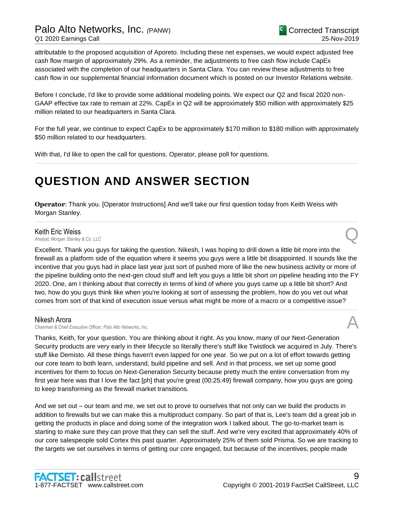# Palo Alto Networks, Inc. *(*PANW) Q1 2020 Earnings Call

attributable to the proposed acquisition of Aporeto. Including these net expenses, we would expect adjusted free cash flow margin of approximately 29%. As a reminder, the adjustments to free cash flow include CapEx associated with the completion of our headquarters in Santa Clara. You can review these adjustments to free cash flow in our supplemental financial information document which is posted on our Investor Relations website.

Before I conclude, I'd like to provide some additional modeling points. We expect our Q2 and fiscal 2020 non-GAAP effective tax rate to remain at 22%. CapEx in Q2 will be approximately \$50 million with approximately \$25 million related to our headquarters in Santa Clara.

For the full year, we continue to expect CapEx to be approximately \$170 million to \$180 million with approximately \$50 million related to our headquarters.

......................................................................................................................................................................................................................................................

With that, I'd like to open the call for questions. Operator, please poll for questions.

# **QUESTION AND ANSWER SECTION**

**Operator**: Thank you. [Operator Instructions] And we'll take our first question today from Keith Weiss with Morgan Stanley.

# Keith Eric Weiss

*Analyst, Morgan Stanley & Co. LLC* Q

Excellent. Thank you guys for taking the question. Nikesh, I was hoping to drill down a little bit more into the firewall as a platform side of the equation where it seems you guys were a little bit disappointed. It sounds like the incentive that you guys had in place last year just sort of pushed more of like the new business activity or more of the pipeline building onto the next-gen cloud stuff and left you guys a little bit short on pipeline heading into the FY 2020. One, am I thinking about that correctly in terms of kind of where you guys came up a little bit short? And two, how do you guys think like when you're looking at sort of assessing the problem, how do you vet out what comes from sort of that kind of execution issue versus what might be more of a macro or a competitive issue?

......................................................................................................................................................................................................................................................

......................................................................................................................................................................................................................................................

### Nikesh Arora

*Chairman & Chief Executive Officer, Palo Alto Networks, Inc.* A

Thanks, Keith, for your question. You are thinking about it right. As you know, many of our Next-Generation Security products are very early in their lifecycle so literally there's stuff like Twistlock we acquired in July. There's stuff like Demisto. All these things haven't even lapped for one year. So we put on a lot of effort towards getting our core team to both learn, understand, build pipeline and sell. And in that process, we set up some good incentives for them to focus on Next-Generation Security because pretty much the entire conversation from my first year here was that I love the fact [ph] that you're great (00:25:49) firewall company, how you guys are going to keep transforming as the firewall market transitions.

And we set out – our team and me, we set out to prove to ourselves that not only can we build the products in addition to firewalls but we can make this a multiproduct company. So part of that is, Lee's team did a great job in getting the products in place and doing some of the integration work I talked about. The go-to-market team is starting to make sure they can prove that they can sell the stuff. And we're very excited that approximately 40% of our core salespeople sold Cortex this past quarter. Approximately 25% of them sold Prisma. So we are tracking to the targets we set ourselves in terms of getting our core engaged, but because of the incentives, people made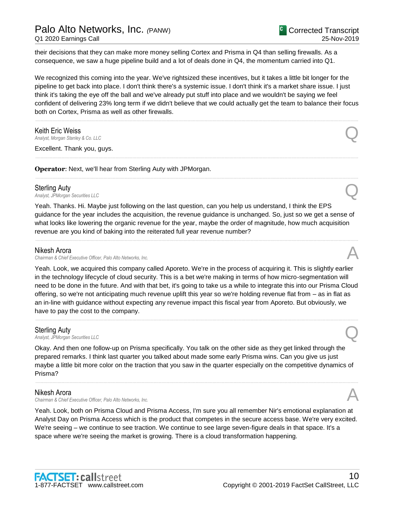their decisions that they can make more money selling Cortex and Prisma in Q4 than selling firewalls. As a consequence, we saw a huge pipeline build and a lot of deals done in Q4, the momentum carried into Q1.

We recognized this coming into the year. We've rightsized these incentives, but it takes a little bit longer for the pipeline to get back into place. I don't think there's a systemic issue. I don't think it's a market share issue. I just think it's taking the eye off the ball and we've already put stuff into place and we wouldn't be saying we feel confident of delivering 23% long term if we didn't believe that we could actually get the team to balance their focus both on Cortex, Prisma as well as other firewalls.

......................................................................................................................................................................................................................................................

......................................................................................................................................................................................................................................................

......................................................................................................................................................................................................................................................

Keith Eric Weiss *Analyst, Morgan Stanley & Co. LLC* Q

Excellent. Thank you, guys.

**Operator**: Next, we'll hear from Sterling Auty with JPMorgan.

### Sterling Auty

*Analyst, JPMorgan Securities LLC* Q

Yeah. Thanks. Hi. Maybe just following on the last question, can you help us understand, I think the EPS guidance for the year includes the acquisition, the revenue guidance is unchanged. So, just so we get a sense of what looks like lowering the organic revenue for the year, maybe the order of magnitude, how much acquisition revenue are you kind of baking into the reiterated full year revenue number?

......................................................................................................................................................................................................................................................

### Nikesh Arora

*Chairman & Chief Executive Officer, Palo Alto Networks, Inc.* A

Yeah. Look, we acquired this company called Aporeto. We're in the process of acquiring it. This is slightly earlier in the technology lifecycle of cloud security. This is a bet we're making in terms of how micro-segmentation will need to be done in the future. And with that bet, it's going to take us a while to integrate this into our Prisma Cloud offering, so we're not anticipating much revenue uplift this year so we're holding revenue flat from – as in flat as an in-line with guidance without expecting any revenue impact this fiscal year from Aporeto. But obviously, we have to pay the cost to the company.

......................................................................................................................................................................................................................................................

#### Sterling Auty

**Sterling Auty**<br>Analyst, JPMorgan Securities LLC

Okay. And then one follow-up on Prisma specifically. You talk on the other side as they get linked through the prepared remarks. I think last quarter you talked about made some early Prisma wins. Can you give us just maybe a little bit more color on the traction that you saw in the quarter especially on the competitive dynamics of Prisma?

......................................................................................................................................................................................................................................................

#### Nikesh Arora

*Chairman & Chief Executive Officer, Palo Alto Networks, Inc.* A

Yeah. Look, both on Prisma Cloud and Prisma Access, I'm sure you all remember Nir's emotional explanation at Analyst Day on Prisma Access which is the product that competes in the secure access base. We're very excited. We're seeing – we continue to see traction. We continue to see large seven-figure deals in that space. It's a space where we're seeing the market is growing. There is a cloud transformation happening.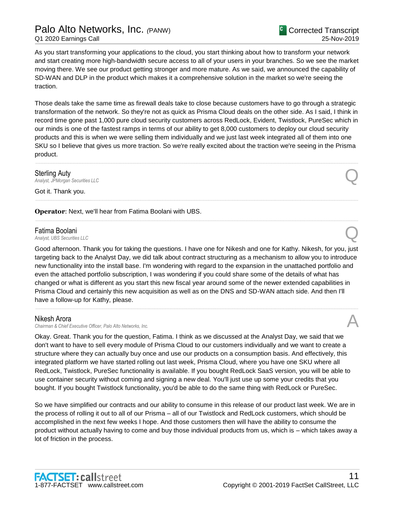As you start transforming your applications to the cloud, you start thinking about how to transform your network and start creating more high-bandwidth secure access to all of your users in your branches. So we see the market moving there. We see our product getting stronger and more mature. As we said, we announced the capability of SD-WAN and DLP in the product which makes it a comprehensive solution in the market so we're seeing the traction.

Those deals take the same time as firewall deals take to close because customers have to go through a strategic transformation of the network. So they're not as quick as Prisma Cloud deals on the other side. As I said, I think in record time gone past 1,000 pure cloud security customers across RedLock, Evident, Twistlock, PureSec which in our minds is one of the fastest ramps in terms of our ability to get 8,000 customers to deploy our cloud security products and this is when we were selling them individually and we just last week integrated all of them into one SKU so I believe that gives us more traction. So we're really excited about the traction we're seeing in the Prisma product.

......................................................................................................................................................................................................................................................

......................................................................................................................................................................................................................................................

......................................................................................................................................................................................................................................................

**Sterling Auty**<br>Analyst, JPMorgan Securities LLC **Sterling Auty**<br>Analyst, JPMorgan Securities LLC

Got it. Thank you.

**Operator**: Next, we'll hear from Fatima Boolani with UBS.

# Fatima Boolani

**Fatima Boolani**<br>Analyst, UBS Securities LLC

Good afternoon. Thank you for taking the questions. I have one for Nikesh and one for Kathy. Nikesh, for you, just targeting back to the Analyst Day, we did talk about contract structuring as a mechanism to allow you to introduce new functionality into the install base. I'm wondering with regard to the expansion in the unattached portfolio and even the attached portfolio subscription, I was wondering if you could share some of the details of what has changed or what is different as you start this new fiscal year around some of the newer extended capabilities in Prisma Cloud and certainly this new acquisition as well as on the DNS and SD-WAN attach side. And then I'll have a follow-up for Kathy, please.

......................................................................................................................................................................................................................................................

# Nikesh Arora

*Chairman & Chief Executive Officer, Palo Alto Networks, Inc.* A

Okay. Great. Thank you for the question, Fatima. I think as we discussed at the Analyst Day, we said that we don't want to have to sell every module of Prisma Cloud to our customers individually and we want to create a structure where they can actually buy once and use our products on a consumption basis. And effectively, this integrated platform we have started rolling out last week, Prisma Cloud, where you have one SKU where all RedLock, Twistlock, PureSec functionality is available. If you bought RedLock SaaS version, you will be able to use container security without coming and signing a new deal. You'll just use up some your credits that you bought. If you bought Twistlock functionality, you'd be able to do the same thing with RedLock or PureSec.

So we have simplified our contracts and our ability to consume in this release of our product last week. We are in the process of rolling it out to all of our Prisma – all of our Twistlock and RedLock customers, which should be accomplished in the next few weeks I hope. And those customers then will have the ability to consume the product without actually having to come and buy those individual products from us, which is – which takes away a lot of friction in the process.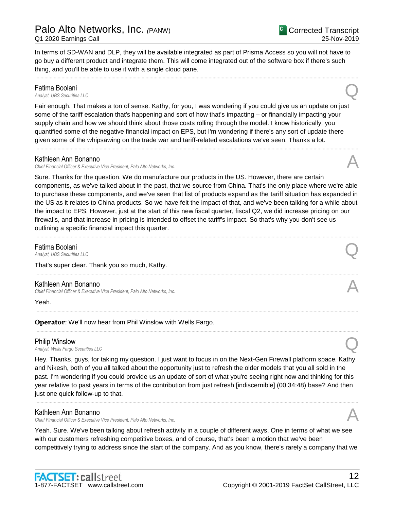Corrected Transcript 25-Nov-2019

In terms of SD-WAN and DLP, they will be available integrated as part of Prisma Access so you will not have to go buy a different product and integrate them. This will come integrated out of the software box if there's such thing, and you'll be able to use it with a single cloud pane.

......................................................................................................................................................................................................................................................

# Fatima Boolani<br>Analyst, UBS Securities LLC **Fatima Boolani**<br>Analyst, UBS Securities LLC

Fair enough. That makes a ton of sense. Kathy, for you, I was wondering if you could give us an update on just some of the tariff escalation that's happening and sort of how that's impacting – or financially impacting your supply chain and how we should think about those costs rolling through the model. I know historically, you quantified some of the negative financial impact on EPS, but I'm wondering if there's any sort of update there given some of the whipsawing on the trade war and tariff-related escalations we've seen. Thanks a lot.

......................................................................................................................................................................................................................................................

# Kathleen Ann Bonanno

*Chief Financial Officer & Executive Vice President, Palo Alto Networks, Inc.* A

Sure. Thanks for the question. We do manufacture our products in the US. However, there are certain components, as we've talked about in the past, that we source from China. That's the only place where we're able to purchase these components, and we've seen that list of products expand as the tariff situation has expanded in the US as it relates to China products. So we have felt the impact of that, and we've been talking for a while about the impact to EPS. However, just at the start of this new fiscal quarter, fiscal Q2, we did increase pricing on our firewalls, and that increase in pricing is intended to offset the tariff's impact. So that's why you don't see us outlining a specific financial impact this quarter.

......................................................................................................................................................................................................................................................

......................................................................................................................................................................................................................................................

......................................................................................................................................................................................................................................................

......................................................................................................................................................................................................................................................

**Fatima Boolani**<br>Analyst, UBS Securities LLC **Fatima Boolani**<br>Analyst, UBS Securities LLC

### That's super clear. Thank you so much, Kathy.

# Kathleen Ann Bonanno

*Chief Financial Officer & Executive Vice President, Palo Alto Networks, Inc.* A

Yeah.

# **Operator**: We'll now hear from Phil Winslow with Wells Fargo.

# Philip Winslow

*Analyst, Wells Fargo Securities LLC* Q

Hey. Thanks, guys, for taking my question. I just want to focus in on the Next-Gen Firewall platform space. Kathy and Nikesh, both of you all talked about the opportunity just to refresh the older models that you all sold in the past. I'm wondering if you could provide us an update of sort of what you're seeing right now and thinking for this year relative to past years in terms of the contribution from just refresh [indiscernible] (00:34:48) base? And then just one quick follow-up to that.

......................................................................................................................................................................................................................................................

# Kathleen Ann Bonanno

*Chief Financial Officer & Executive Vice President, Palo Alto Networks, Inc.* A

Yeah. Sure. We've been talking about refresh activity in a couple of different ways. One in terms of what we see with our customers refreshing competitive boxes, and of course, that's been a motion that we've been competitively trying to address since the start of the company. And as you know, there's rarely a company that we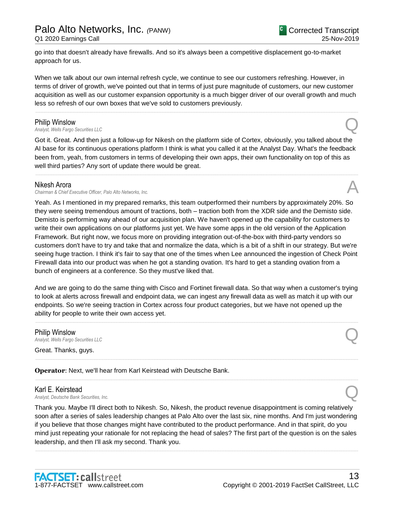go into that doesn't already have firewalls. And so it's always been a competitive displacement go-to-market approach for us.

When we talk about our own internal refresh cycle, we continue to see our customers refreshing. However, in terms of driver of growth, we've pointed out that in terms of just pure magnitude of customers, our new customer acquisition as well as our customer expansion opportunity is a much bigger driver of our overall growth and much less so refresh of our own boxes that we've sold to customers previously.

......................................................................................................................................................................................................................................................

**Philip Winslow**<br>Analyst, Wells Fargo Securities LLC *Analyst, Wells Fargo Securities LLC* Q

Got it. Great. And then just a follow-up for Nikesh on the platform side of Cortex, obviously, you talked about the AI base for its continuous operations platform I think is what you called it at the Analyst Day. What's the feedback been from, yeah, from customers in terms of developing their own apps, their own functionality on top of this as well third parties? Any sort of update there would be great.

......................................................................................................................................................................................................................................................

### Nikesh Arora

*Chairman & Chief Executive Officer, Palo Alto Networks, Inc.* A

Yeah. As I mentioned in my prepared remarks, this team outperformed their numbers by approximately 20%. So they were seeing tremendous amount of tractions, both – traction both from the XDR side and the Demisto side. Demisto is performing way ahead of our acquisition plan. We haven't opened up the capability for customers to write their own applications on our platforms just yet. We have some apps in the old version of the Application Framework. But right now, we focus more on providing integration out-of-the-box with third-party vendors so customers don't have to try and take that and normalize the data, which is a bit of a shift in our strategy. But we're seeing huge traction. I think it's fair to say that one of the times when Lee announced the ingestion of Check Point Firewall data into our product was when he got a standing ovation. It's hard to get a standing ovation from a bunch of engineers at a conference. So they must've liked that.

And we are going to do the same thing with Cisco and Fortinet firewall data. So that way when a customer's trying to look at alerts across firewall and endpoint data, we can ingest any firewall data as well as match it up with our endpoints. So we're seeing traction in Cortex across four product categories, but we have not opened up the ability for people to write their own access yet.

......................................................................................................................................................................................................................................................

......................................................................................................................................................................................................................................................

......................................................................................................................................................................................................................................................

Philip Winslow *Analyst, Wells Fargo Securities LLC* Q

Great. Thanks, guys.

**Operator**: Next, we'll hear from Karl Keirstead with Deutsche Bank.

# Karl E. Keirstead *Analyst, Deutsche Bank Securities, Inc.* Q

Thank you. Maybe I'll direct both to Nikesh. So, Nikesh, the product revenue disappointment is coming relatively soon after a series of sales leadership changes at Palo Alto over the last six, nine months. And I'm just wondering if you believe that those changes might have contributed to the product performance. And in that spirit, do you mind just repeating your rationale for not replacing the head of sales? The first part of the question is on the sales leadership, and then I'll ask my second. Thank you.

......................................................................................................................................................................................................................................................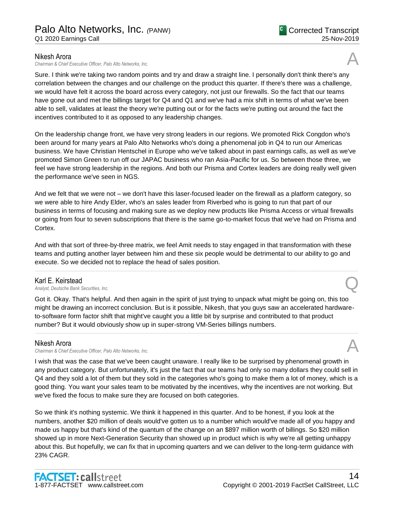# Nikesh Arora

*Chairman & Chief Executive Officer, Palo Alto Networks, Inc.* A

Sure. I think we're taking two random points and try and draw a straight line. I personally don't think there's any correlation between the changes and our challenge on the product this quarter. If there's there was a challenge, we would have felt it across the board across every category, not just our firewalls. So the fact that our teams have gone out and met the billings target for Q4 and Q1 and we've had a mix shift in terms of what we've been able to sell, validates at least the theory we're putting out or for the facts we're putting out around the fact the incentives contributed to it as opposed to any leadership changes.

On the leadership change front, we have very strong leaders in our regions. We promoted Rick Congdon who's been around for many years at Palo Alto Networks who's doing a phenomenal job in Q4 to run our Americas business. We have Christian Hentschel in Europe who we've talked about in past earnings calls, as well as we've promoted Simon Green to run off our JAPAC business who ran Asia-Pacific for us. So between those three, we feel we have strong leadership in the regions. And both our Prisma and Cortex leaders are doing really well given the performance we've seen in NGS.

And we felt that we were not – we don't have this laser-focused leader on the firewall as a platform category, so we were able to hire Andy Elder, who's an sales leader from Riverbed who is going to run that part of our business in terms of focusing and making sure as we deploy new products like Prisma Access or virtual firewalls or going from four to seven subscriptions that there is the same go-to-market focus that we've had on Prisma and Cortex.

And with that sort of three-by-three matrix, we feel Amit needs to stay engaged in that transformation with these teams and putting another layer between him and these six people would be detrimental to our ability to go and execute. So we decided not to replace the head of sales position.

......................................................................................................................................................................................................................................................

# Karl E. Keirstead

*Analyst, Deutsche Bank Securities, Inc.* Q

Got it. Okay. That's helpful. And then again in the spirit of just trying to unpack what might be going on, this too might be drawing an incorrect conclusion. But is it possible, Nikesh, that you guys saw an accelerated hardwareto-software form factor shift that might've caught you a little bit by surprise and contributed to that product number? But it would obviously show up in super-strong VM-Series billings numbers.

......................................................................................................................................................................................................................................................

# Nikesh Arora

*Chairman & Chief Executive Officer, Palo Alto Networks, Inc.* A

I wish that was the case that we've been caught unaware. I really like to be surprised by phenomenal growth in any product category. But unfortunately, it's just the fact that our teams had only so many dollars they could sell in Q4 and they sold a lot of them but they sold in the categories who's going to make them a lot of money, which is a good thing. You want your sales team to be motivated by the incentives, why the incentives are not working. But we've fixed the focus to make sure they are focused on both categories.

So we think it's nothing systemic. We think it happened in this quarter. And to be honest, if you look at the numbers, another \$20 million of deals would've gotten us to a number which would've made all of you happy and made us happy but that's kind of the quantum of the change on an \$897 million worth of billings. So \$20 million showed up in more Next-Generation Security than showed up in product which is why we're all getting unhappy about this. But hopefully, we can fix that in upcoming quarters and we can deliver to the long-term guidance with 23% CAGR.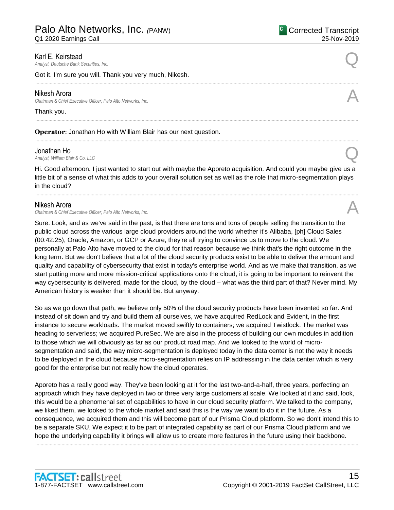Q1 2020 Earnings Call

**Karl E. Keirstead**<br>Analyst, Deutsche Bank Securities, Inc. *Analyst, Deutsche Bank Securities, Inc.* Q

Got it. I'm sure you will. Thank you very much, Nikesh.

### Nikesh Arora

*Chairman & Chief Executive Officer, Palo Alto Networks, Inc.* A

### Thank you.

**Operator**: Jonathan Ho with William Blair has our next question.

### Jonathan Ho

**Jonathan Ho**<br>Analyst, William Blair & Co. LLC

Hi. Good afternoon. I just wanted to start out with maybe the Aporeto acquisition. And could you maybe give us a little bit of a sense of what this adds to your overall solution set as well as the role that micro-segmentation plays in the cloud?

......................................................................................................................................................................................................................................................

......................................................................................................................................................................................................................................................

......................................................................................................................................................................................................................................................

......................................................................................................................................................................................................................................................

### Nikesh Arora

*Chairman & Chief Executive Officer, Palo Alto Networks, Inc.* A

Sure. Look, and as we've said in the past, is that there are tons and tons of people selling the transition to the public cloud across the various large cloud providers around the world whether it's Alibaba, [ph] Cloud Sales (00:42:25), Oracle, Amazon, or GCP or Azure, they're all trying to convince us to move to the cloud. We personally at Palo Alto have moved to the cloud for that reason because we think that's the right outcome in the long term. But we don't believe that a lot of the cloud security products exist to be able to deliver the amount and quality and capability of cybersecurity that exist in today's enterprise world. And as we make that transition, as we start putting more and more mission-critical applications onto the cloud, it is going to be important to reinvent the way cybersecurity is delivered, made for the cloud, by the cloud – what was the third part of that? Never mind. My American history is weaker than it should be. But anyway.

So as we go down that path, we believe only 50% of the cloud security products have been invented so far. And instead of sit down and try and build them all ourselves, we have acquired RedLock and Evident, in the first instance to secure workloads. The market moved swiftly to containers; we acquired Twistlock. The market was heading to serverless; we acquired PureSec. We are also in the process of building our own modules in addition to those which we will obviously as far as our product road map. And we looked to the world of microsegmentation and said, the way micro-segmentation is deployed today in the data center is not the way it needs to be deployed in the cloud because micro-segmentation relies on IP addressing in the data center which is very good for the enterprise but not really how the cloud operates.

Aporeto has a really good way. They've been looking at it for the last two-and-a-half, three years, perfecting an approach which they have deployed in two or three very large customers at scale. We looked at it and said, look, this would be a phenomenal set of capabilities to have in our cloud security platform. We talked to the company, we liked them, we looked to the whole market and said this is the way we want to do it in the future. As a consequence, we acquired them and this will become part of our Prisma Cloud platform. So we don't intend this to be a separate SKU. We expect it to be part of integrated capability as part of our Prisma Cloud platform and we hope the underlying capability it brings will allow us to create more features in the future using their backbone.

......................................................................................................................................................................................................................................................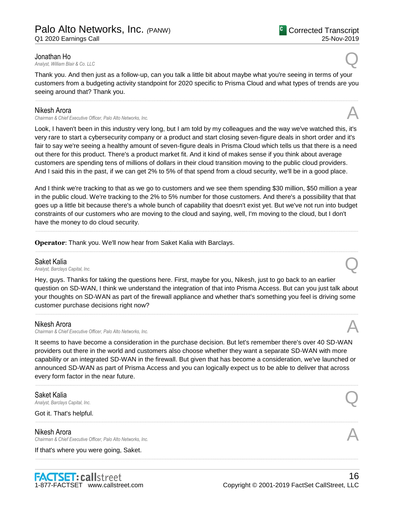**Jonathan Ho**<br>Analyst, William Blair & Co. LLC **Jonathan Ho**<br>Analyst, William Blair & Co. LLC

Thank you. And then just as a follow-up, can you talk a little bit about maybe what you're seeing in terms of your customers from a budgeting activity standpoint for 2020 specific to Prisma Cloud and what types of trends are you seeing around that? Thank you.

......................................................................................................................................................................................................................................................

### Nikesh Arora

*Chairman & Chief Executive Officer, Palo Alto Networks, Inc.* A

Look, I haven't been in this industry very long, but I am told by my colleagues and the way we've watched this, it's very rare to start a cybersecurity company or a product and start closing seven-figure deals in short order and it's fair to say we're seeing a healthy amount of seven-figure deals in Prisma Cloud which tells us that there is a need out there for this product. There's a product market fit. And it kind of makes sense if you think about average customers are spending tens of millions of dollars in their cloud transition moving to the public cloud providers. And I said this in the past, if we can get 2% to 5% of that spend from a cloud security, we'll be in a good place.

And I think we're tracking to that as we go to customers and we see them spending \$30 million, \$50 million a year in the public cloud. We're tracking to the 2% to 5% number for those customers. And there's a possibility that that goes up a little bit because there's a whole bunch of capability that doesn't exist yet. But we've not run into budget constraints of our customers who are moving to the cloud and saying, well, I'm moving to the cloud, but I don't have the money to do cloud security.

......................................................................................................................................................................................................................................................

......................................................................................................................................................................................................................................................

**Operator**: Thank you. We'll now hear from Saket Kalia with Barclays.

Saket Kalia<br>Analyst, Barclays Capital, Inc. *Analyst, Barclays Capital, Inc.* Q

Hey, guys. Thanks for taking the questions here. First, maybe for you, Nikesh, just to go back to an earlier question on SD-WAN, I think we understand the integration of that into Prisma Access. But can you just talk about your thoughts on SD-WAN as part of the firewall appliance and whether that's something you feel is driving some customer purchase decisions right now?

......................................................................................................................................................................................................................................................

# Nikesh Arora

*Chairman & Chief Executive Officer, Palo Alto Networks, Inc.* A

It seems to have become a consideration in the purchase decision. But let's remember there's over 40 SD-WAN providers out there in the world and customers also choose whether they want a separate SD-WAN with more capability or an integrated SD-WAN in the firewall. But given that has become a consideration, we've launched or announced SD-WAN as part of Prisma Access and you can logically expect us to be able to deliver that across every form factor in the near future.

......................................................................................................................................................................................................................................................

......................................................................................................................................................................................................................................................

......................................................................................................................................................................................................................................................

### Saket Kalia

*Analyst, Barclays Capital, Inc.* Q

Got it. That's helpful.

### Nikesh Arora

*Chairman & Chief Executive Officer, Palo Alto Networks, Inc.* A

If that's where you were going, Saket.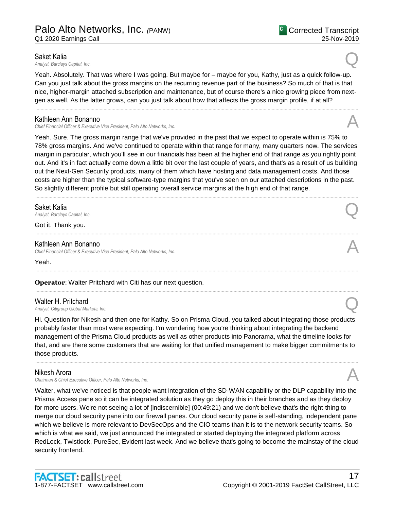**Saket Kalia**<br>Analyst, Barclays Capital, Inc. *Analyst, Barclays Capital, Inc.* Q

Yeah. Absolutely. That was where I was going. But maybe for – maybe for you, Kathy, just as a quick follow-up. Can you just talk about the gross margins on the recurring revenue part of the business? So much of that is that nice, higher-margin attached subscription and maintenance, but of course there's a nice growing piece from nextgen as well. As the latter grows, can you just talk about how that affects the gross margin profile, if at all?

......................................................................................................................................................................................................................................................

### Kathleen Ann Bonanno

*Chief Financial Officer & Executive Vice President, Palo Alto Networks, Inc.* A

Yeah. Sure. The gross margin range that we've provided in the past that we expect to operate within is 75% to 78% gross margins. And we've continued to operate within that range for many, many quarters now. The services margin in particular, which you'll see in our financials has been at the higher end of that range as you rightly point out. And it's in fact actually come down a little bit over the last couple of years, and that's as a result of us building out the Next-Gen Security products, many of them which have hosting and data management costs. And those costs are higher than the typical software-type margins that you've seen on our attached descriptions in the past. So slightly different profile but still operating overall service margins at the high end of that range.

......................................................................................................................................................................................................................................................

......................................................................................................................................................................................................................................................

......................................................................................................................................................................................................................................................

......................................................................................................................................................................................................................................................

### Saket Kalia

*Analyst, Barclays Capital, Inc.* Q

Got it. Thank you.

# Kathleen Ann Bonanno

*Chief Financial Officer & Executive Vice President, Palo Alto Networks, Inc.* A

Yeah.

**Operator**: Walter Pritchard with Citi has our next question.

Walter H. Pritchard *Analyst, Citigroup Global Markets, Inc.* Q

Hi. Question for Nikesh and then one for Kathy. So on Prisma Cloud, you talked about integrating those products probably faster than most were expecting. I'm wondering how you're thinking about integrating the backend management of the Prisma Cloud products as well as other products into Panorama, what the timeline looks for that, and are there some customers that are waiting for that unified management to make bigger commitments to those products.

......................................................................................................................................................................................................................................................

# Nikesh Arora

*Chairman & Chief Executive Officer, Palo Alto Networks, Inc.* A

Walter, what we've noticed is that people want integration of the SD-WAN capability or the DLP capability into the Prisma Access pane so it can be integrated solution as they go deploy this in their branches and as they deploy for more users. We're not seeing a lot of [indiscernible] (00:49:21) and we don't believe that's the right thing to merge our cloud security pane into our firewall panes. Our cloud security pane is self-standing, independent pane which we believe is more relevant to DevSecOps and the CIO teams than it is to the network security teams. So which is what we said, we just announced the integrated or started deploying the integrated platform across RedLock, Twistlock, PureSec, Evident last week. And we believe that's going to become the mainstay of the cloud security frontend.



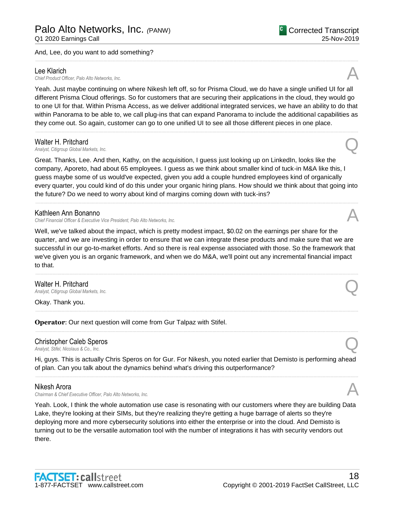#### And, Lee, do you want to add something?

Lee Klarich<br>Chief Product Officer, Palo Alto Networks, Inc. Lee Klarich<br>Chief Product Officer, Palo Alto Networks, Inc.

Yeah. Just maybe continuing on where Nikesh left off, so for Prisma Cloud, we do have a single unified UI for all different Prisma Cloud offerings. So for customers that are securing their applications in the cloud, they would go to one UI for that. Within Prisma Access, as we deliver additional integrated services, we have an ability to do that within Panorama to be able to, we call plug-ins that can expand Panorama to include the additional capabilities as they come out. So again, customer can go to one unified UI to see all those different pieces in one place.

......................................................................................................................................................................................................................................................

......................................................................................................................................................................................................................................................

#### Walter H. Pritchard

*Analyst, Citigroup Global Markets, Inc.* Q

Great. Thanks, Lee. And then, Kathy, on the acquisition, I guess just looking up on LinkedIn, looks like the company, Aporeto, had about 65 employees. I guess as we think about smaller kind of tuck-in M&A like this, I guess maybe some of us would've expected, given you add a couple hundred employees kind of organically every quarter, you could kind of do this under your organic hiring plans. How should we think about that going into the future? Do we need to worry about kind of margins coming down with tuck-ins?

......................................................................................................................................................................................................................................................

#### Kathleen Ann Bonanno

*Chief Financial Officer & Executive Vice President, Palo Alto Networks, Inc.* A

Well, we've talked about the impact, which is pretty modest impact, \$0.02 on the earnings per share for the quarter, and we are investing in order to ensure that we can integrate these products and make sure that we are successful in our go-to-market efforts. And so there is real expense associated with those. So the framework that we've given you is an organic framework, and when we do M&A, we'll point out any incremental financial impact to that.

......................................................................................................................................................................................................................................................

......................................................................................................................................................................................................................................................

......................................................................................................................................................................................................................................................

# **Walter H. Pritchard**<br>Analyst, Citigroup Global Markets, Inc. *Analyst, Citigroup Global Markets, Inc.* Q

Okay. Thank you.

**Operator**: Our next question will come from Gur Talpaz with Stifel.

# Christopher Caleb Speros *Analyst, Stifel, Nicolaus & Co., Inc.* Q

Hi, guys. This is actually Chris Speros on for Gur. For Nikesh, you noted earlier that Demisto is performing ahead of plan. Can you talk about the dynamics behind what's driving this outperformance? ......................................................................................................................................................................................................................................................

### Nikesh Arora

*Chairman & Chief Executive Officer, Palo Alto Networks, Inc.* A

Yeah. Look, I think the whole automation use case is resonating with our customers where they are building Data Lake, they're looking at their SIMs, but they're realizing they're getting a huge barrage of alerts so they're deploying more and more cybersecurity solutions into either the enterprise or into the cloud. And Demisto is turning out to be the versatile automation tool with the number of integrations it has with security vendors out there.

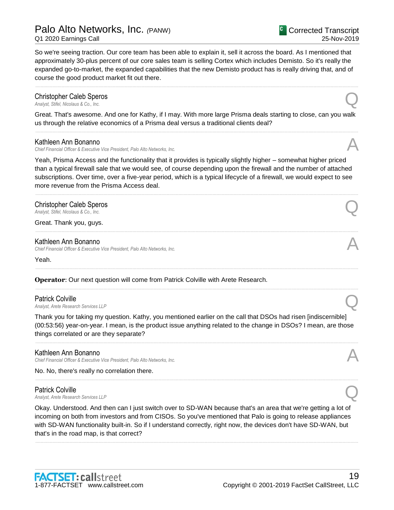# Palo Alto Networks, Inc. *(*PANW)

Q1 2020 Earnings Call

Corrected Transcript 25-Nov-2019

So we're seeing traction. Our core team has been able to explain it, sell it across the board. As I mentioned that approximately 30-plus percent of our core sales team is selling Cortex which includes Demisto. So it's really the expanded go-to-market, the expanded capabilities that the new Demisto product has is really driving that, and of course the good product market fit out there.

......................................................................................................................................................................................................................................................

# **Christopher Caleb Speros**<br>Analyst, Stifel, Nicolaus & Co., Inc. *Analyst, Stifel, Nicolaus & Co., Inc.* Q

Great. That's awesome. And one for Kathy, if I may. With more large Prisma deals starting to close, can you walk us through the relative economics of a Prisma deal versus a traditional clients deal? ......................................................................................................................................................................................................................................................

# Kathleen Ann Bonanno

*Chief Financial Officer & Executive Vice President, Palo Alto Networks, Inc.* A

Yeah, Prisma Access and the functionality that it provides is typically slightly higher – somewhat higher priced than a typical firewall sale that we would see, of course depending upon the firewall and the number of attached subscriptions. Over time, over a five-year period, which is a typical lifecycle of a firewall, we would expect to see more revenue from the Prisma Access deal.

......................................................................................................................................................................................................................................................

......................................................................................................................................................................................................................................................

......................................................................................................................................................................................................................................................

......................................................................................................................................................................................................................................................

# Christopher Caleb Speros *Analyst, Stifel, Nicolaus & Co., Inc.* Q

Great. Thank you, guys.

# Kathleen Ann Bonanno

*Chief Financial Officer & Executive Vice President, Palo Alto Networks, Inc.* A

Yeah.

**Operator**: Our next question will come from Patrick Colville with Arete Research.

**Patrick Colville**<br>Analyst, Arete Research Services LLP *Analyst, Arete Research Services LLP* Q

Thank you for taking my question. Kathy, you mentioned earlier on the call that DSOs had risen [indiscernible] (00:53:56) year-on-year. I mean, is the product issue anything related to the change in DSOs? I mean, are those things correlated or are they separate?

......................................................................................................................................................................................................................................................

......................................................................................................................................................................................................................................................

# Kathleen Ann Bonanno

*Chief Financial Officer & Executive Vice President, Palo Alto Networks, Inc.* A

No. No, there's really no correlation there.

# Patrick Colville *Analyst, Arete Research Services LLP* Q

Okay. Understood. And then can I just switch over to SD-WAN because that's an area that we're getting a lot of incoming on both from investors and from CISOs. So you've mentioned that Palo is going to release appliances with SD-WAN functionality built-in. So if I understand correctly, right now, the devices don't have SD-WAN, but that's in the road map, is that correct?

......................................................................................................................................................................................................................................................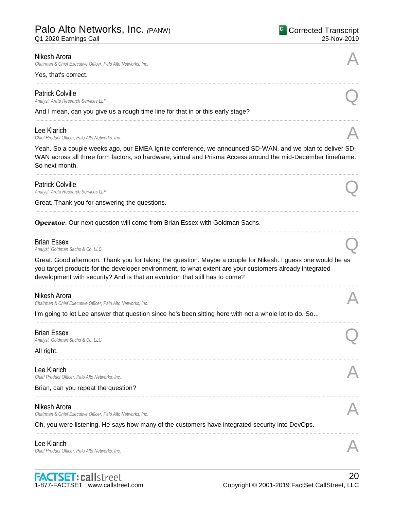# Palo Alto Networks, Inc. *(*PANW)

Q1 2020 Earnings Call

#### Nikesh Arora

*Chairman & Chief Executive Officer, Palo Alto Networks, Inc.* A

#### Yes, that's correct.

Patrick Colville<br>Analyst, Arete Research Services LLP *Analyst, Arete Research Services LLP* Q

And I mean, can you give us a rough time line for that in or this early stage?

Lee Klarich<br>Chief Product Officer, Palo Alto Networks, Inc. Lee Klarich<br>Chief Product Officer, Palo Alto Networks, Inc.

Yeah. So a couple weeks ago, our EMEA Ignite conference, we announced SD-WAN, and we plan to deliver SD-WAN across all three form factors, so hardware, virtual and Prisma Access around the mid-December timeframe. So next month.

......................................................................................................................................................................................................................................................

......................................................................................................................................................................................................................................................

......................................................................................................................................................................................................................................................

......................................................................................................................................................................................................................................................

......................................................................................................................................................................................................................................................

### Patrick Colville

*Analyst, Arete Research Services LLP* Q

Great. Thank you for answering the questions.

**Operator**: Our next question will come from Brian Essex with Goldman Sachs.

**Brian Essex**<br>Analyst, Goldman Sachs & Co. LLC **Analyst, Goldman Sachs & Co. LLC Quarter Concernsive Concernsive Concernsive Concernsive Concernsive Concernsive Concernsive Concernsive Concernsive Concernsive Concernsive Concernsive Concernsive Concernsive Concernsiv** 

Great. Good afternoon. Thank you for taking the question. Maybe a couple for Nikesh. I guess one would be as you target products for the developer environment, to what extent are your customers already integrated development with security? And is that an evolution that still has to come?

......................................................................................................................................................................................................................................................

......................................................................................................................................................................................................................................................

......................................................................................................................................................................................................................................................

......................................................................................................................................................................................................................................................

......................................................................................................................................................................................................................................................

### Nikesh Arora

*Chairman & Chief Executive Officer, Palo Alto Networks, Inc.* A

I'm going to let Lee answer that question since he's been sitting here with not a whole lot to do. So...

**Brian Essex**<br>Analyst, Goldman Sachs & Co. LLC **Analyst, Goldman Sachs & Co. LLC**<br>Analyst, Goldman Sachs & Co. LLC

### All right.

Lee Klarich Lee Klarich<br>Chief Product Officer, Palo Alto Networks, Inc.

### Brian, can you repeat the question?

### Nikesh Arora

*Chairman & Chief Executive Officer, Palo Alto Networks, Inc.* A

Oh, you were listening. He says how many of the customers have integrated security into DevOps.

Lee Klarich<br>Chief Product Officer, Palo Alto Networks, Inc. Lee Klarich<br>Chief Product Officer, Palo Alto Networks, Inc.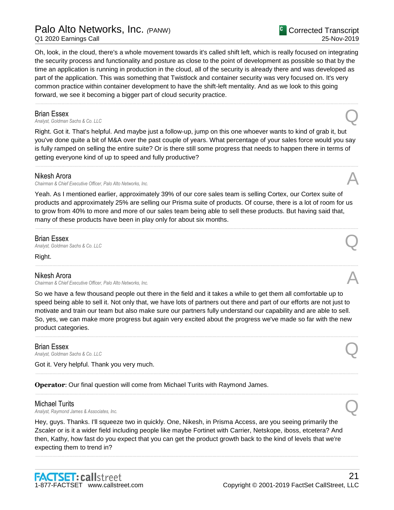Palo Alto Networks, Inc. *(*PANW)

Q1 2020 Earnings Call

Corrected Transcript 25-Nov-2019

Oh, look, in the cloud, there's a whole movement towards it's called shift left, which is really focused on integrating the security process and functionality and posture as close to the point of development as possible so that by the time an application is running in production in the cloud, all of the security is already there and was developed as part of the application. This was something that Twistlock and container security was very focused on. It's very common practice within container development to have the shift-left mentality. And as we look to this going forward, we see it becoming a bigger part of cloud security practice.

......................................................................................................................................................................................................................................................

**Brian Essex**<br>Analyst, Goldman Sachs & Co. LLC **Analyst, Goldman Sachs & Co. LLC**<br>Analyst, Goldman Sachs & Co. LLC

Right. Got it. That's helpful. And maybe just a follow-up, jump on this one whoever wants to kind of grab it, but you've done quite a bit of M&A over the past couple of years. What percentage of your sales force would you say is fully ramped on selling the entire suite? Or is there still some progress that needs to happen there in terms of getting everyone kind of up to speed and fully productive?

......................................................................................................................................................................................................................................................

# Nikesh Arora

*Chairman & Chief Executive Officer, Palo Alto Networks, Inc.* A

Yeah. As I mentioned earlier, approximately 39% of our core sales team is selling Cortex, our Cortex suite of products and approximately 25% are selling our Prisma suite of products. Of course, there is a lot of room for us to grow from 40% to more and more of our sales team being able to sell these products. But having said that, many of these products have been in play only for about six months.

......................................................................................................................................................................................................................................................

......................................................................................................................................................................................................................................................

# Brian Essex

**Analyst, Goldman Sachs & Co. LLC**<br>Analyst, Goldman Sachs & Co. LLC

Right.

# Nikesh Arora

*Chairman & Chief Executive Officer, Palo Alto Networks, Inc.* A

So we have a few thousand people out there in the field and it takes a while to get them all comfortable up to speed being able to sell it. Not only that, we have lots of partners out there and part of our efforts are not just to motivate and train our team but also make sure our partners fully understand our capability and are able to sell. So, yes, we can make more progress but again very excited about the progress we've made so far with the new product categories.

......................................................................................................................................................................................................................................................

......................................................................................................................................................................................................................................................

......................................................................................................................................................................................................................................................

**Brian Essex**<br>Analyst, Goldman Sachs & Co. LLC **Analyst, Goldman Sachs & Co. LLC**<br>Analyst, Goldman Sachs & Co. LLC

Got it. Very helpful. Thank you very much.

**Operator**: Our final question will come from Michael Turits with Raymond James.

# Michael Turits

*Analyst, Raymond James & Associates, Inc.* Q

Hey, guys. Thanks. I'll squeeze two in quickly. One, Nikesh, in Prisma Access, are you seeing primarily the Zscaler or is it a wider field including people like maybe Fortinet with Carrier, Netskope, iboss, etcetera? And then, Kathy, how fast do you expect that you can get the product growth back to the kind of levels that we're expecting them to trend in?

......................................................................................................................................................................................................................................................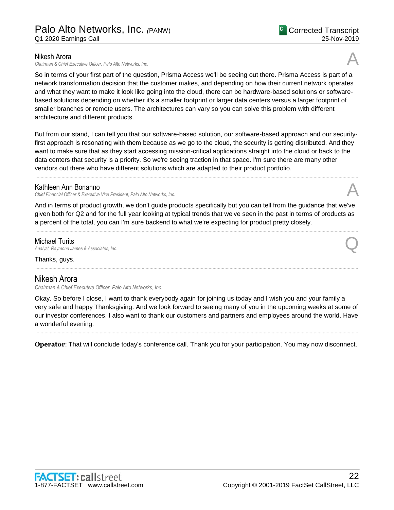### Nikesh Arora

*Chairman & Chief Executive Officer, Palo Alto Networks, Inc.* A

So in terms of your first part of the question, Prisma Access we'll be seeing out there. Prisma Access is part of a network transformation decision that the customer makes, and depending on how their current network operates and what they want to make it look like going into the cloud, there can be hardware-based solutions or softwarebased solutions depending on whether it's a smaller footprint or larger data centers versus a larger footprint of smaller branches or remote users. The architectures can vary so you can solve this problem with different architecture and different products.

But from our stand, I can tell you that our software-based solution, our software-based approach and our securityfirst approach is resonating with them because as we go to the cloud, the security is getting distributed. And they want to make sure that as they start accessing mission-critical applications straight into the cloud or back to the data centers that security is a priority. So we're seeing traction in that space. I'm sure there are many other vendors out there who have different solutions which are adapted to their product portfolio.

......................................................................................................................................................................................................................................................

# Kathleen Ann Bonanno

*Chief Financial Officer & Executive Vice President, Palo Alto Networks, Inc.* A

And in terms of product growth, we don't guide products specifically but you can tell from the guidance that we've given both for Q2 and for the full year looking at typical trends that we've seen in the past in terms of products as a percent of the total, you can I'm sure backend to what we're expecting for product pretty closely.

......................................................................................................................................................................................................................................................

......................................................................................................................................................................................................................................................

# Michael Turits

*Analyst, Raymond James & Associates, Inc.* Q

Thanks, guys.

# Nikesh Arora

*Chairman & Chief Executive Officer, Palo Alto Networks, Inc.*

Okay. So before I close, I want to thank everybody again for joining us today and I wish you and your family a very safe and happy Thanksgiving. And we look forward to seeing many of you in the upcoming weeks at some of our investor conferences. I also want to thank our customers and partners and employees around the world. Have a wonderful evening.

...................................................................................................................................................................................................................................................... **Operator**: That will conclude today's conference call. Thank you for your participation. You may now disconnect.